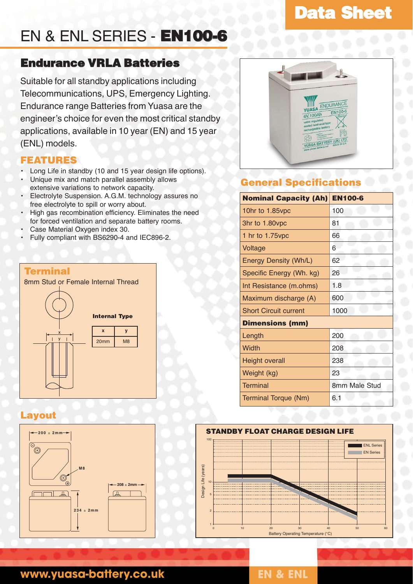# **Data Sheet**

# EN & ENL SERIES - **EN100-6**

# **Endurance VRLA Batteries**

Suitable for all standby applications including Telecommunications, UPS, Emergency Lighting. Endurance range Batteries from Yuasa are the engineer's choice for even the most critical standby applications, available in 10 year (EN) and 15 year (ENL) models.

## **FEATURES**

- Long Life in standby (10 and 15 year design life options).
- Unique mix and match parallel assembly allows extensive variations to network capacity.
- Electrolyte Suspension. A.G.M. technology assures no free electrolyte to spill or worry about.
- High gas recombination efficiency. Eliminates the need for forced ventilation and separate battery rooms.
- Case Material Oxygen index 30.
- Fully compliant with BS6290-4 and IEC896-2.

### **Terminal**

8mm Stud or Female Internal Thread



## **Layout**





# **General Specifications**

| <b>Nominal Capacity (Ah)</b> | <b>EN100-6</b> |
|------------------------------|----------------|
| 10hr to 1.85vpc              | 100            |
| 3hr to 1.80vpc               | 81             |
| 1 hr to 1.75 vpc             | 66             |
| Voltage                      | 6              |
| <b>Energy Density (Wh/L)</b> | 62             |
| Specific Energy (Wh. kg)     | 26             |
| Int Resistance (m.ohms)      | 1.8            |
| Maximum discharge (A)        | 600            |
| <b>Short Circuit current</b> | 1000           |
| <b>Dimensions (mm)</b>       |                |
| Length                       | 200            |
| Width                        | 208            |
| <b>Height overall</b>        | 238            |
| Weight (kg)                  | 23             |
| <b>Terminal</b>              | 8mm Male Stud  |
| Terminal Torque (Nm)         | 6.1            |
|                              |                |



# **www.yuasa-battery.co.uk EN & ENL**